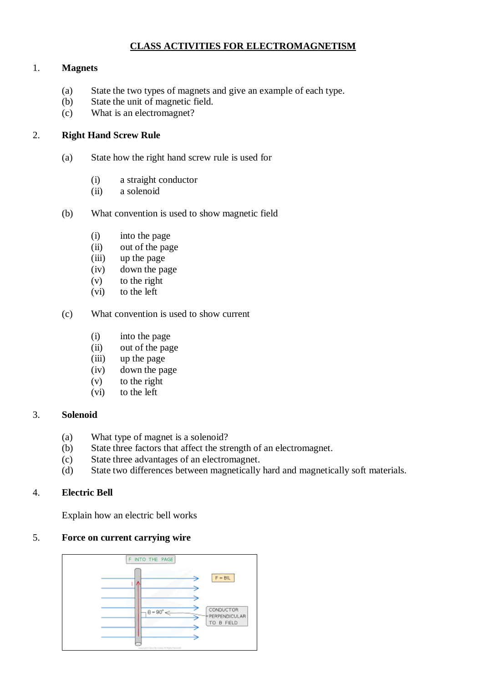# **CLASS ACTIVITIES FOR ELECTROMAGNETISM**

### 1. **Magnets**

- (a) State the two types of magnets and give an example of each type.
- (b) State the unit of magnetic field.
- (c) What is an electromagnet?

## 2. **Right Hand Screw Rule**

- (a) State how the right hand screw rule is used for
	- (i) a straight conductor
	- (ii) a solenoid
- (b) What convention is used to show magnetic field
	- (i) into the page
	- (ii) out of the page
	- (iii) up the page
	- (iv) down the page
	- (v) to the right
	- (vi) to the left

#### (c) What convention is used to show current

- (i) into the page
- (ii) out of the page
- (iii) up the page
- (iv) down the page
- (v) to the right
- (vi) to the left

#### 3. **Solenoid**

- (a) What type of magnet is a solenoid?
- (b) State three factors that affect the strength of an electromagnet.
- (c) State three advantages of an electromagnet.
- (d) State two differences between magnetically hard and magnetically soft materials.

## 4. **Electric Bell**

Explain how an electric bell works

### 5. **Force on current carrying wire**

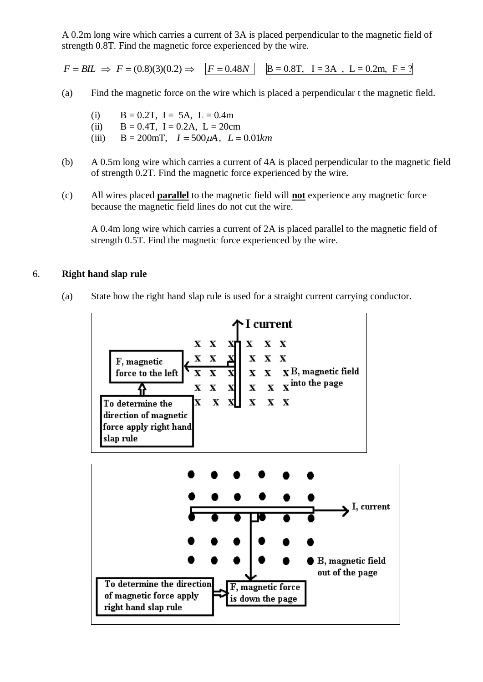A 0.2m long wire which carries a current of 3A is placed perpendicular to the magnetic field of strength 0.8T. Find the magnetic force experienced by the wire.

 $F = BIL \Rightarrow F = (0.8)(3)(0.2) \Rightarrow F = 0.48N$  B = 0.8T, I = 3A, L = 0.2m, F = ?

- (a) Find the magnetic force on the wire which is placed a perpendicular t the magnetic field.
	- (i)  $B = 0.2T$ ,  $I = 5A$ ,  $L = 0.4m$
	- (ii)  $B = 0.4T$ ,  $I = 0.2A$ ,  $L = 20cm$
	- (iii)  $B = 200$ mT,  $I = 500 \mu A$ ,  $L = 0.01 km$
- (b) A 0.5m long wire which carries a current of 4A is placed perpendicular to the magnetic field of strength 0.2T. Find the magnetic force experienced by the wire.
- (c) All wires placed **parallel** to the magnetic field will **not** experience any magnetic force because the magnetic field lines do not cut the wire.

A 0.4m long wire which carries a current of 2A is placed parallel to the magnetic field of strength 0.5T. Find the magnetic force experienced by the wire.

### 6. **Right hand slap rule**

(a) State how the right hand slap rule is used for a straight current carrying conductor.



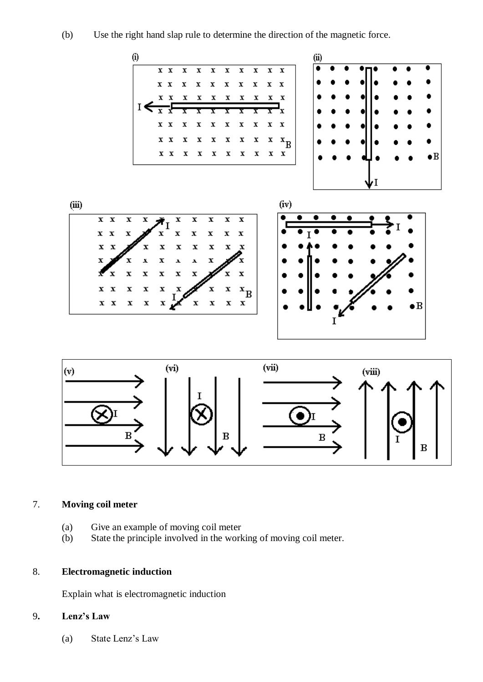(b) Use the right hand slap rule to determine the direction of the magnetic force.



### 7. **Moving coil meter**

- (a) Give an example of moving coil meter
- (b) State the principle involved in the working of moving coil meter.

## 8. **Electromagnetic induction**

Explain what is electromagnetic induction

# 9**. Lenz's Law**

(a) State Lenz's Law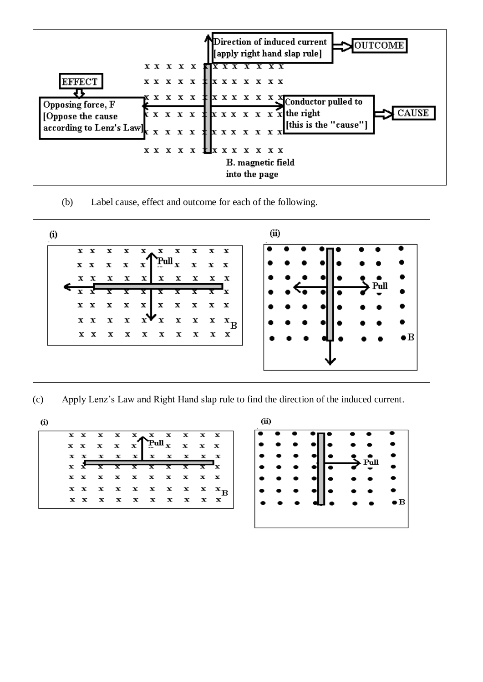

(b) Label cause, effect and outcome for each of the following.



(c) Apply Lenz's Law and Right Hand slap rule to find the direction of the induced current.



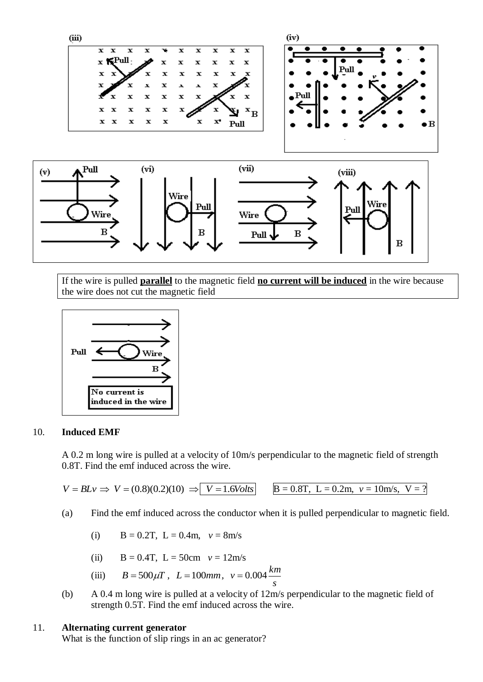



If the wire is pulled **parallel** to the magnetic field **no current will be induced** in the wire because the wire does not cut the magnetic field



#### 10. **Induced EMF**

A 0.2 m long wire is pulled at a velocity of 10m/s perpendicular to the magnetic field of strength 0.8T. Find the emf induced across the wire.

 $V = BLv \implies V = (0.8)(0.2)(10) \implies V = 1.6 \text{Volts}$   $B = 0.8 \text{T}, L = 0.2 \text{m}, v = 10 \text{m/s}, V = ?$ 

(a) Find the emf induced across the conductor when it is pulled perpendicular to magnetic field.

(i)  $B = 0.2T$ ,  $L = 0.4m$ ,  $v = 8m/s$ 

(ii)  $B = 0.4T$ ,  $L = 50cm$   $v = 12m/s$ 

(iii) 
$$
B = 500 \mu T
$$
,  $L = 100 mm$ ,  $v = 0.004 \frac{km}{s}$ 

(b) A 0.4 m long wire is pulled at a velocity of 12m/s perpendicular to the magnetic field of strength 0.5T. Find the emf induced across the wire.

#### 11. **Alternating current generator**

What is the function of slip rings in an ac generator?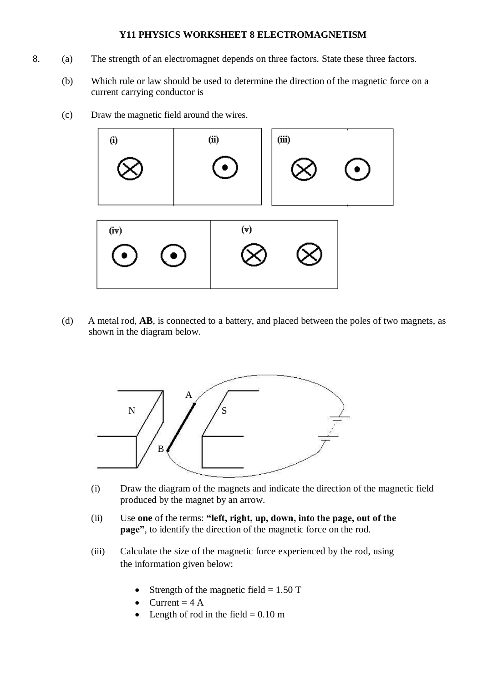#### **Y11 PHYSICS WORKSHEET 8 ELECTROMAGNETISM**

- 8. (a) The strength of an electromagnet depends on three factors. State these three factors.
	- (b) Which rule or law should be used to determine the direction of the magnetic force on a current carrying conductor is
	- (c) Draw the magnetic field around the wires.



(d) A metal rod, **AB**, is connected to a battery, and placed between the poles of two magnets, as shown in the diagram below.



- (i) Draw the diagram of the magnets and indicate the direction of the magnetic field produced by the magnet by an arrow.
- (ii) Use **one** of the terms: **"left, right, up, down, into the page, out of the page"**, to identify the direction of the magnetic force on the rod.
- (iii) Calculate the size of the magnetic force experienced by the rod, using the information given below:
	- Strength of the magnetic field  $= 1.50$  T
	- Current  $= 4 A$
	- Length of rod in the field  $= 0.10$  m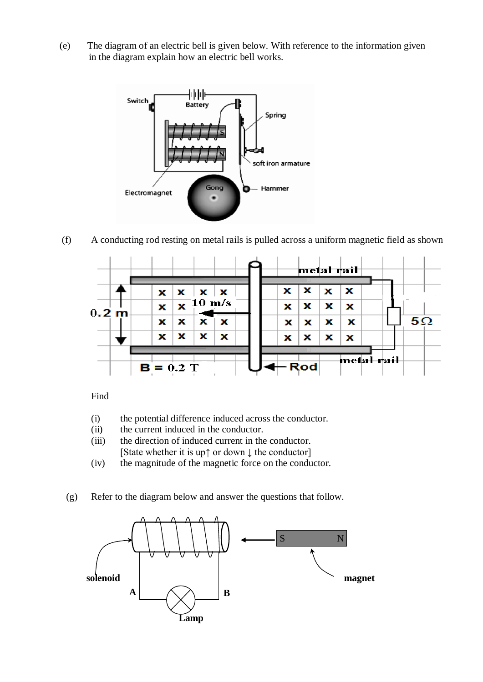(e) The diagram of an electric bell is given below. With reference to the information given in the diagram explain how an electric bell works.



(f) A conducting rod resting on metal rails is pulled across a uniform magnetic field as shown



Find

- (i) the potential difference induced across the conductor.
- (ii) the current induced in the conductor.
- (iii) the direction of induced current in the conductor. [State whether it is up↑ or down ↓ the conductor]
- (iv) the magnitude of the magnetic force on the conductor.
- (g) Refer to the diagram below and answer the questions that follow.